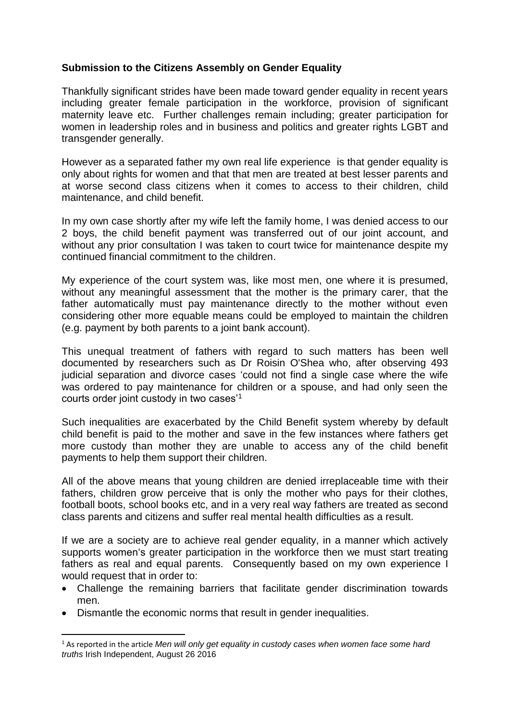## **Submission to the Citizens Assembly on Gender Equality**

Thankfully significant strides have been made toward gender equality in recent years including greater female participation in the workforce, provision of significant maternity leave etc. Further challenges remain including; greater participation for women in leadership roles and in business and politics and greater rights LGBT and transgender generally.

However as a separated father my own real life experience is that gender equality is only about rights for women and that that men are treated at best lesser parents and at worse second class citizens when it comes to access to their children, child maintenance, and child benefit.

In my own case shortly after my wife left the family home, I was denied access to our 2 boys, the child benefit payment was transferred out of our joint account, and without any prior consultation I was taken to court twice for maintenance despite my continued financial commitment to the children.

My experience of the court system was, like most men, one where it is presumed, without any meaningful assessment that the mother is the primary carer, that the father automatically must pay maintenance directly to the mother without even considering other more equable means could be employed to maintain the children (e.g. payment by both parents to a joint bank account).

This unequal treatment of fathers with regard to such matters has been well documented by researchers such as Dr Roisin O'Shea who, after observing 493 judicial separation and divorce cases 'could not find a single case where the wife was ordered to pay maintenance for children or a spouse, and had only seen the courts order joint custody in two cases'<sup>1</sup>

Such inequalities are exacerbated by the Child Benefit system whereby by default child benefit is paid to the mother and save in the few instances where fathers get more custody than mother they are unable to access any of the child benefit payments to help them support their children.

All of the above means that young children are denied irreplaceable time with their fathers, children grow perceive that is only the mother who pays for their clothes, football boots, school books etc, and in a very real way fathers are treated as second class parents and citizens and suffer real mental health difficulties as a result.

If we are a society are to achieve real gender equality, in a manner which actively supports women's greater participation in the workforce then we must start treating fathers as real and equal parents. Consequently based on my own experience I would request that in order to:

- Challenge the remaining barriers that facilitate gender discrimination towards men.
- Dismantle the economic norms that result in gender inequalities.

1

<sup>1</sup> As reported in the article *Men will only get equality in custody cases when women face some hard truths* Irish Independent, August 26 2016